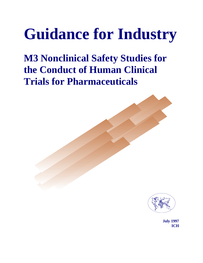# **Guidance for Industry**

**M3 Nonclinical Safety Studies for the Conduct of Human Clinical Trials for Pharmaceuticals**



**July 1997 ICH**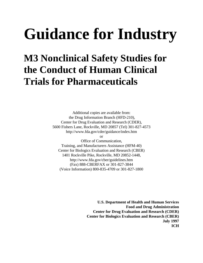# **Guidance for Industry**

## **M3 Nonclinical Safety Studies for the Conduct of Human Clinical Trials for Pharmaceuticals**

Additional copies are available from: the Drug Information Branch (HFD-210), Center for Drug Evaluation and Research (CDER), 5600 Fishers Lane, Rockville, MD 20857 (Tel) 301-827-4573 http://www.fda.gov/cder/guidance/index.htm

or

Office of Communication, Training, and Manufacturers Assistance (HFM-40) Center for Biologics Evaluation and Research (CBER) 1401 Rockville Pike, Rockville, MD 20852-1448, http://www.fda.gov/cber/guidelines.htm (Fax) 888-CBERFAX or 301-827-3844 (Voice Information) 800-835-4709 or 301-827-1800

> **U.S. Department of Health and Human Services Food and Drug Administration Center for Drug Evaluation and Research (CDER) Center for Biologics Evaluation and Research (CBER) July 1997 ICH**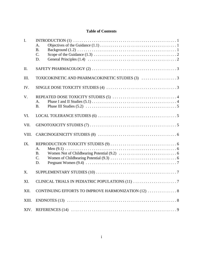#### **Table of Contents**

| I.    | A.<br><b>B.</b><br>$C$ .<br>D. |
|-------|--------------------------------|
| II.   |                                |
| III.  |                                |
| IV.   |                                |
| V.    | A.<br><b>B.</b>                |
| VI.   |                                |
| VII.  |                                |
| VIII. |                                |
| IX.   | A.<br><b>B.</b><br>C.<br>D.    |
| X.    |                                |
| XI.   |                                |
| XII.  |                                |
| XIII. |                                |
| XIV.  |                                |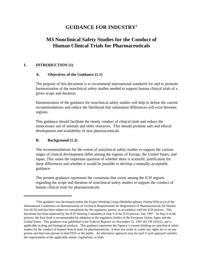### **GUIDANCE FOR INDUSTRY<sup>1</sup>**

### **M3 Nonclinical Safety Studies for the Conduct of Human Clinical Trials for Pharmaceuticals**

#### **I. INTRODUCTION (1)**

#### **A. Objectives of the Guidance (1.1)**

The purpose of this document is to recommend international standards for and to promote harmonization of the nonclinical safety studies needed to support human clinical trials of a given scope and duration.

Harmonization of the guidance for nonclinical safety studies will help to define the current recommendations and reduce the likelihood that substantial differences will exist between regions.

This guidance should facilitate the timely conduct of clinical trials and reduce the unnecessary use of animals and other resources. This should promote safe and ethical development and availability of new pharmaceuticals.

#### **B. Background (1.2)**

The recommendations for the extent of nonclinical safety studies to support the various stages of clinical development differ among the regions of Europe, the United States, and Japan. This raises the important question of whether there is scientific justification for these differences and whether it would be possible to develop a mutually acceptable guidance.

The present guidance represents the consensus that exists among the ICH regions regarding the scope and duration of nonclinical safety studies to support the conduct of human clinical trials for pharmaceuticals.

This guidance was developed within the Expert Working Group (Multidisciplinary (Safety/Efficacy)) of the <sup>1</sup> International Conference on Harmonisation of Technical Requirements for Registration of Pharmaceuticals for Human Use (ICH) and has been subject to consultation by the regulatory parties, in accordance with the ICH process. This document has been endorsed by the ICH Steering Committee at *Step 4* of the ICH process, July 1997. At *Step 4* of the process, the final draft is recommended for adoption to the regulatory bodies of the European Union, Japan and the United States. This guidance was published in the *Federal Register* on November 25, 1997 (62 FR 62922), and is applicable to drug and biological products. This guidance represents the Agency's current thinking on nonclinical safety studies for the conduct of human clinical trials for pharmaceuticals. It does not create or confer any rights for or on any person and does not operate to bind FDA or the public. An alternative approach may be used if such approach satisfies the requirements of the applicable statute, regulations, or both.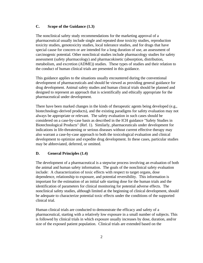#### **C. Scope of the Guidance (1.3)**

The nonclinical safety study recommendations for the marketing approval of a pharmaceutical usually include single and repeated dose toxicity studies, reproduction toxicity studies, genotoxicity studies, local tolerance studies, and for drugs that have special cause for concern or are intended for a long duration of use, an assessment of carcinogenic potential. Other nonclinical studies include pharmacology studies for safety assessment (safety pharmacology) and pharmacokinetic (absorption, distribution, metabolism, and excretion (ADME)) studies. These types of studies and their relation to the conduct of human clinical trials are presented in this guidance.

This guidance applies to the situations usually encountered during the conventional development of pharmaceuticals and should be viewed as providing general guidance for drug development. Animal safety studies and human clinical trials should be planned and designed to represent an approach that is scientifically and ethically appropriate for the pharmaceutical under development.

There have been marked changes in the kinds of therapeutic agents being developed (e.g., biotechnology-derived products), and the existing paradigms for safety evaluation may not always be appropriate or relevant. The safety evaluation in such cases should be considered on a case-by-case basis as described in the ICH guidance "Safety Studies in Biotechnological Products" (Ref. 1). Similarly, pharmaceuticals under development for indications in life-threatening or serious diseases without current effective therapy may also warrant a case-by-case approach to both the toxicological evaluation and clinical development to optimize and expedite drug development. In these cases, particular studies may be abbreviated, deferred, or omitted.

#### **D. General Principles (1.4)**

The development of a pharmaceutical is a stepwise process involving an evaluation of both the animal and human safety information. The goals of the nonclinical safety evaluation include: A characterization of toxic effects with respect to target organs, dose dependence, relationship to exposure, and potential reversibility. This information is important for the estimation of an initial safe starting dose for the human trials and the identification of parameters for clinical monitoring for potential adverse effects. The nonclinical safety studies, although limited at the beginning of clinical development, should be adequate to characterize potential toxic effects under the conditions of the supported clinical trial.

Human clinical trials are conducted to demonstrate the efficacy and safety of a pharmaceutical, starting with a relatively low exposure in a small number of subjects. This is followed by clinical trials in which exposure usually increases by dose, duration, and/or size of the exposed patient population. Clinical trials are extended based on the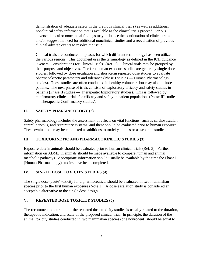demonstration of adequate safety in the previous clinical trial(s) as well as additional nonclinical safety information that is available as the clinical trials proceed. Serious adverse clinical or nonclinical findings may influence the continuation of clinical trials and/or suggest the need for additional nonclinical studies and a reevaluation of previous clinical adverse events to resolve the issue.

Clinical trials are conducted in phases for which different terminology has been utilized in the various regions. This document uses the terminology as defined in the ICH guidance "General Considerations for Clinical Trials" (Ref. 2). Clinical trials may be grouped by their purpose and objectives. The first human exposure studies are generally single dose studies, followed by dose escalation and short-term repeated dose studies to evaluate pharmacokinetic parameters and tolerance (Phase I studies — Human Pharmacology studies). These studies are often conducted in healthy volunteers but may also include patients. The next phase of trials consists of exploratory efficacy and safety studies in patients (Phase II studies — Therapeutic Exploratory studies). This is followed by confirmatory clinical trials for efficacy and safety in patient populations (Phase III studies — Therapeutic Confirmatory studies).

#### **II. SAFETY PHARMACOLOGY (2)**

Safety pharmacology includes the assessment of effects on vital functions, such as cardiovascular, central nervous, and respiratory systems, and these should be evaluated prior to human exposure. These evaluations may be conducted as additions to toxicity studies or as separate studies.

#### **III. TOXICOKINETIC AND PHARMACOKINETIC STUDIES (3)**

Exposure data in animals should be evaluated prior to human clinical trials (Ref. 3). Further information on ADME in animals should be made available to compare human and animal metabolic pathways. Appropriate information should usually be available by the time the Phase I (Human Pharmacology) studies have been completed.

#### **IV. SINGLE DOSE TOXICITY STUDIES (4)**

The single dose (acute) toxicity for a pharmaceutical should be evaluated in two mammalian species prior to the first human exposure (Note 1). A dose escalation study is considered an acceptable alternative to the single dose design.

#### **V. REPEATED DOSE TOXICITY STUDIES (5)**

The recommended duration of the repeated dose toxicity studies is usually related to the duration, therapeutic indication, and scale of the proposed clinical trial. In principle, the duration of the animal toxicity studies conducted in two mammalian species (one nonrodent) should be equal to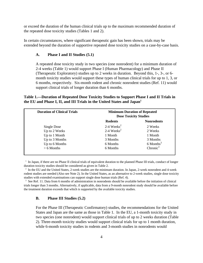or exceed the duration of the human clinical trials up to the maximum recommended duration of the repeated dose toxicity studies (Tables 1 and 2).

In certain circumstances, where significant therapeutic gain has been shown, trials may be extended beyond the duration of supportive repeated dose toxicity studies on a case-by-case basis.

#### **A. Phase I and II Studies (5.1)**

A repeated dose toxicity study in two species (one nonrodent) for a minimum duration of 2-4 weeks (Table 1) would support Phase I (Human Pharmacology) and Phase II (Therapeutic Exploratory) studies up to 2 weeks in duration. Beyond this, 1-, 3-, or 6 month toxicity studies would support these types of human clinical trials for up to 1, 3, or 6 months, respectively. Six-month rodent and chronic nonrodent studies (Ref. 11) would support clinical trials of longer duration than 6 months.

#### **Table 1.—Duration of Repeated Dose Toxicity Studies to Support Phase I and II Trials in the EU and Phase I, II, and III Trials in the United States and Japan<sup>1</sup>**

| <b>Duration of Clinical Trials</b> | <b>Minimum Duration of Repeated</b><br><b>Dose Toxicity Studies</b> |                         |
|------------------------------------|---------------------------------------------------------------------|-------------------------|
|                                    | <b>Rodents</b>                                                      | <b>Nonrodents</b>       |
| Single Dose                        | 2-4 Weeks <sup>2</sup>                                              | 2 Weeks                 |
| Up to 2 Weeks                      | 2-4 Weeks <sup>2</sup>                                              | 2 Weeks                 |
| Up to 1 Month                      | 1 Month                                                             | 1 Month                 |
| Up to 3 Months                     | 3 Months                                                            | 3 Months                |
| Up to 6 Months                     | 6 Months                                                            | $6$ Months <sup>3</sup> |
| $> 6$ Months                       | 6 Months                                                            | Chronic <sup>3</sup>    |

 $<sup>1</sup>$  In Japan, if there are no Phase II clinical trials of equivalent duration to the planned Phase III trials, conduct of longer</sup> duration toxicity studies should be considered as given in Table 2.

 $\frac{1}{2}$  In the EU and the United States, 2-week studies are the minimum duration. In Japan, 2-week nonrodent and 4-week rodent studies are needed (Also see Note 2). In the United States, as an alternative to 2-week studies, single dose toxicity studies with extended examinations can support single dose human trials (Ref. 4).

 $3$  See Ref. 11. Data from 6 months of administration in nonrodents should be available before the initiation of clinical trials longer than 3 months. Alternatively, if applicable, data from a 9-month nonrodent study should be available before the treatment duration exceeds that which is supported by the available toxicity studies.

#### **B. Phase III Studies (5.2)**

For the Phase III (Therapeutic Confirmatory) studies, the recommendations for the United States and Japan are the same as those in Table 1. In the EU, a 1-month toxicity study in two species (one nonrodent) would support clinical trials of up to 2 weeks duration (Table 2). Three-month toxicity studies would support clinical trials for up to 1 month duration, while 6-month toxicity studies in rodents and 3-month studies in nonrodents would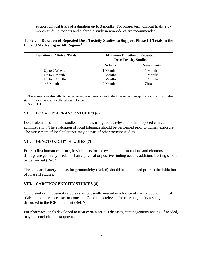support clinical trials of a duration up to 3 months. For longer term clinical trials, a 6 month study in rodents and a chronic study in nonrodents are recommended.

| Table 2.—Duration of Repeated Dose Toxicity Studies to Support Phase III Trials in the |  |  |
|----------------------------------------------------------------------------------------|--|--|
| EU and Marketing in All Regions <sup>1</sup>                                           |  |  |

| <b>Duration of Clinical Trials</b> | <b>Minimum Duration of Repeated</b><br><b>Dose Toxicity Studies</b> |                      |
|------------------------------------|---------------------------------------------------------------------|----------------------|
|                                    | <b>Rodents</b>                                                      | <b>Nonrodents</b>    |
| Up to 2 Weeks                      | 1 Month                                                             | 1 Month              |
| Up to 1 Month                      | 3 Months                                                            | 3 Months             |
| Up to 3 Months                     | 6 Months                                                            | 3 Months             |
| $>$ 3 Months                       | 6 Months                                                            | Chronic <sup>2</sup> |

 $<sup>1</sup>$  The above table also reflects the marketing recommendations in the three regions except that a chronic nonrodent</sup> study is recommended for clinical use > 1 month.

 $2$  See Ref. 11.

#### **VI. LOCAL TOLERANCE STUDIES (6)**

Local tolerance should be studied in animals using routes relevant to the proposed clinical administration. The evaluation of local tolerance should be performed prior to human exposure. The assessment of local tolerance may be part of other toxicity studies.

#### **VII. GENOTOXICITY STUDIES (7)**

Prior to first human exposure, in vitro tests for the evaluation of mutations and chromosomal damage are generally needed. If an equivocal or positive finding occurs, additional testing should be performed (Ref. 5).

The standard battery of tests for genotoxicity (Ref. 6) should be completed prior to the initiation of Phase II studies.

#### **VIII. CARCINOGENICITY STUDIES (8)**

Completed carcinogenicity studies are not usually needed in advance of the conduct of clinical trials unless there is cause for concern. Conditions relevant for carcinogenicity testing are discussed in the ICH document (Ref. 7).

For pharmaceuticals developed to treat certain serious diseases, carcinogenicity testing, if needed, may be concluded postapproval.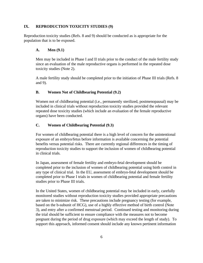#### **IX. REPRODUCTION TOXICITY STUDIES (9)**

Reproduction toxicity studies (Refs. 8 and 9) should be conducted as is appropriate for the population that is to be exposed.

#### **A. Men (9.1)**

Men may be included in Phase I and II trials prior to the conduct of the male fertility study since an evaluation of the male reproductive organs is performed in the repeated dose toxicity studies (Note 2).

A male fertility study should be completed prior to the initiation of Phase III trials (Refs. 8 and 9).

#### **B. Women Not of Childbearing Potential (9.2)**

Women not of childbearing potential (i.e., permanently sterilized, postmenopausal) may be included in clinical trials without reproduction toxicity studies provided the relevant repeated dose toxicity studies (which include an evaluation of the female reproductive organs) have been conducted.

#### **C. Women of Childbearing Potential (9.3)**

For women of childbearing potential there is a high level of concern for the unintentional exposure of an embryo/fetus before information is available concerning the potential benefits versus potential risks. There are currently regional differences in the timing of reproduction toxicity studies to support the inclusion of women of childbearing potential in clinical trials.

In Japan, assessment of female fertility and embryo-fetal development should be completed prior to the inclusion of women of childbearing potential using birth control in any type of clinical trial. In the EU, assessment of embryo-fetal development should be completed prior to Phase I trials in women of childbearing potential and female fertility studies prior to Phase III trials.

In the United States, women of childbearing potential may be included in early, carefully monitored studies without reproduction toxicity studies provided appropriate precautions are taken to minimize risk. These precautions include pregnancy testing (for example, based on the b-subunit of HCG), use of a highly effective method of birth control (Note 3), and entry after a confirmed menstrual period. Continued testing and monitoring during the trial should be sufficient to ensure compliance with the measures not to become pregnant during the period of drug exposure (which may exceed the length of study). To support this approach*,* informed consent should include any known pertinent information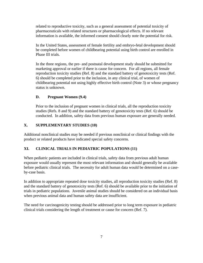related to reproductive toxicity, such as a general assessment of potential toxicity of pharmaceuticals with related structures or pharmacological effects. If no relevant information is available, the informed consent should clearly note the potential for risk.

In the United States, assessment of female fertility and embryo-fetal development should be completed before women of childbearing potential using birth control are enrolled in Phase III trials.

In the three regions, the pre- and postnatal development study should be submitted for marketing approval or earlier if there is cause for concern. For all regions, all female reproduction toxicity studies (Ref. 8) and the standard battery of genotoxicity tests (Ref. 6) should be completed prior to the inclusion, in any clinical trial, of women of childbearing potential not using highly effective birth control (Note 3) or whose pregnancy status is unknown.

#### **D. Pregnant Women (9.4)**

Prior to the inclusion of pregnant women in clinical trials, all the reproduction toxicity studies (Refs. 8 and 9) and the standard battery of genotoxicity tests (Ref. 6) should be conducted. In addition, safety data from previous human exposure are generally needed.

#### **X. SUPPLEMENTARY STUDIES (10)**

Additional nonclinical studies may be needed if previous nonclinical or clinical findings with the product or related products have indicated special safety concerns.

#### **XI. CLINICAL TRIALS IN PEDIATRIC POPULATIONS (11)**

When pediatric patients are included in clinical trials, safety data from previous adult human exposure would usually represent the most relevant information and should generally be available before pediatric clinical trials. The necessity for adult human data would be determined on a caseby-case basis.

In addition to appropriate repeated dose toxicity studies, all reproduction toxicity studies (Ref. 8) and the standard battery of genotoxicity tests (Ref. 6) should be available prior to the initiation of trials in pediatric populations. Juvenile animal studies should be considered on an individual basis when previous animal data and human safety data are insufficient.

The need for carcinogenicity testing should be addressed prior to long term exposure in pediatric clinical trials considering the length of treatment or cause for concern (Ref. 7).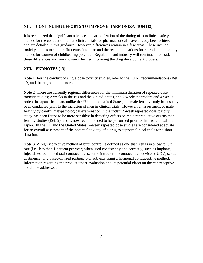#### **XII. CONTINUING EFFORTS TO IMPROVE HARMONIZATION (12)**

It is recognized that significant advances in harmonization of the timing of nonclinical safety studies for the conduct of human clinical trials for pharmaceuticals have already been achieved and are detailed in this guidance. However, differences remain in a few areas. These include toxicity studies to support first entry into man and the recommendations for reproduction toxicity studies for women of childbearing potential. Regulators and industry will continue to consider these differences and work towards further improving the drug development process.

#### **XIII. ENDNOTES (13)**

**Note 1** For the conduct of single dose toxicity studies, refer to the ICH-1 recommendations (Ref. 10) and the regional guidances.

**Note 2** There are currently regional differences for the minimum duration of repeated dose toxicity studies; 2 weeks in the EU and the United States, and 2 weeks nonrodent and 4 weeks rodent in Japan. In Japan, unlike the EU and the United States, the male fertility study has usually been conducted prior to the inclusion of men in clinical trials. However, an assessment of male fertility by careful histopathological examination in the rodent 4-week repeated dose toxicity study has been found to be more sensitive in detecting effects on male reproductive organs than fertility studies (Ref. 9), and is now recommended to be performed prior to the first clinical trial in Japan. In the EU and the United States, 2-week repeated dose studies are considered adequate for an overall assessment of the potential toxicity of a drug to support clinical trials for a short duration.

**Note 3** A highly effective method of birth control is defined as one that results in a low failure rate (i.e., less than 1 percent per year) when used consistently and correctly, such as implants, injectables, combined oral contraceptives, some intrauterine contraceptive devices (IUDs), sexual abstinence, or a vasectomized partner. For subjects using a hormonal contraceptive method, information regarding the product under evaluation and its potential effect on the contraceptive should be addressed.